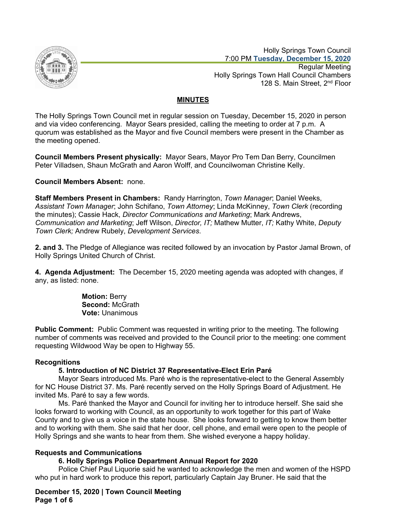

 Holly Springs Town Council 7:00 PM **Tuesday, December 15, 2020** Regular Meeting Holly Springs Town Hall Council Chambers 128 S. Main Street, 2<sup>nd</sup> Floor

# **MINUTES**

The Holly Springs Town Council met in regular session on Tuesday, December 15, 2020 in person and via video conferencing. Mayor Sears presided, calling the meeting to order at 7 p.m. A quorum was established as the Mayor and five Council members were present in the Chamber as the meeting opened.

**Council Members Present physically:** Mayor Sears, Mayor Pro Tem Dan Berry, Councilmen Peter Villadsen, Shaun McGrath and Aaron Wolff, and Councilwoman Christine Kelly.

# **Council Members Absent:** none.

**Staff Members Present in Chambers:** Randy Harrington, *Town Manager*; Daniel Weeks, *Assistant Town Manager*; John Schifano, *Town Attorney*; Linda McKinney, *Town Clerk* (recording the minutes); Cassie Hack, *Director Communications and Marketing*; Mark Andrews, *Communication and Marketing*; Jeff Wilson, *Director, IT;* Mathew Mutter, *IT;* Kathy White, *Deputy Town Clerk;* Andrew Rubely, *Development Services*.

**2. and 3.** The Pledge of Allegiance was recited followed by an invocation by Pastor Jamal Brown, of Holly Springs United Church of Christ.

**4. Agenda Adjustment:** The December 15, 2020 meeting agenda was adopted with changes, if any, as listed: none.

> **Motion:** Berry **Second:** McGrath **Vote:** Unanimous

**Public Comment:** Public Comment was requested in writing prior to the meeting. The following number of comments was received and provided to the Council prior to the meeting: one comment requesting Wildwood Way be open to Highway 55.

# **Recognitions**

# **5. Introduction of NC District 37 Representative-Elect Erin Paré**

Mayor Sears introduced Ms. Paré who is the representative-elect to the General Assembly for NC House District 37. Ms. Paré recently served on the Holly Springs Board of Adjustment. He invited Ms. Paré to say a few words.

Ms. Paré thanked the Mayor and Council for inviting her to introduce herself. She said she looks forward to working with Council, as an opportunity to work together for this part of Wake County and to give us a voice in the state house. She looks forward to getting to know them better and to working with them. She said that her door, cell phone, and email were open to the people of Holly Springs and she wants to hear from them. She wished everyone a happy holiday.

# **Requests and Communications**

# **6. Holly Springs Police Department Annual Report for 2020**

Police Chief Paul Liquorie said he wanted to acknowledge the men and women of the HSPD who put in hard work to produce this report, particularly Captain Jay Bruner. He said that the

**December 15, 2020 | Town Council Meeting Page 1 of 6**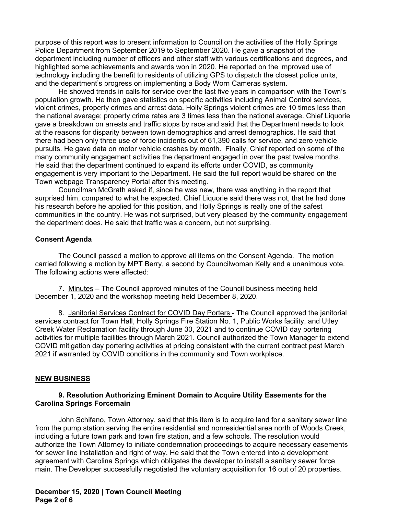purpose of this report was to present information to Council on the activities of the Holly Springs Police Department from September 2019 to September 2020. He gave a snapshot of the department including number of officers and other staff with various certifications and degrees, and highlighted some achievements and awards won in 2020. He reported on the improved use of technology including the benefit to residents of utilizing GPS to dispatch the closest police units, and the department's progress on implementing a Body Worn Cameras system.

He showed trends in calls for service over the last five years in comparison with the Town's population growth. He then gave statistics on specific activities including Animal Control services, violent crimes, property crimes and arrest data. Holly Springs violent crimes are 10 times less than the national average; property crime rates are 3 times less than the national average. Chief Liquorie gave a breakdown on arrests and traffic stops by race and said that the Department needs to look at the reasons for disparity between town demographics and arrest demographics. He said that there had been only three use of force incidents out of 61,390 calls for service, and zero vehicle pursuits. He gave data on motor vehicle crashes by month. Finally, Chief reported on some of the many community engagement activities the department engaged in over the past twelve months. He said that the department continued to expand its efforts under COVID, as community engagement is very important to the Department. He said the full report would be shared on the Town webpage Transparency Portal after this meeting.

Councilman McGrath asked if, since he was new, there was anything in the report that surprised him, compared to what he expected. Chief Liquorie said there was not, that he had done his research before he applied for this position, and Holly Springs is really one of the safest communities in the country. He was not surprised, but very pleased by the community engagement the department does. He said that traffic was a concern, but not surprising.

### **Consent Agenda**

The Council passed a motion to approve all items on the Consent Agenda. The motion carried following a motion by MPT Berry, a second by Councilwoman Kelly and a unanimous vote. The following actions were affected:

7. Minutes – The Council approved minutes of the Council business meeting held December 1, 2020 and the workshop meeting held December 8, 2020.

8. Janitorial Services Contract for COVID Day Porters - The Council approved the janitorial services contract for Town Hall, Holly Springs Fire Station No. 1, Public Works facility, and Utley Creek Water Reclamation facility through June 30, 2021 and to continue COVID day portering activities for multiple facilities through March 2021. Council authorized the Town Manager to extend COVID mitigation day portering activities at pricing consistent with the current contract past March 2021 if warranted by COVID conditions in the community and Town workplace.

#### **NEW BUSINESS**

### **9. Resolution Authorizing Eminent Domain to Acquire Utility Easements for the Carolina Springs Forcemain**

John Schifano, Town Attorney, said that this item is to acquire land for a sanitary sewer line from the pump station serving the entire residential and nonresidential area north of Woods Creek, including a future town park and town fire station, and a few schools. The resolution would authorize the Town Attorney to initiate condemnation proceedings to acquire necessary easements for sewer line installation and right of way. He said that the Town entered into a development agreement with Carolina Springs which obligates the developer to install a sanitary sewer force main. The Developer successfully negotiated the voluntary acquisition for 16 out of 20 properties.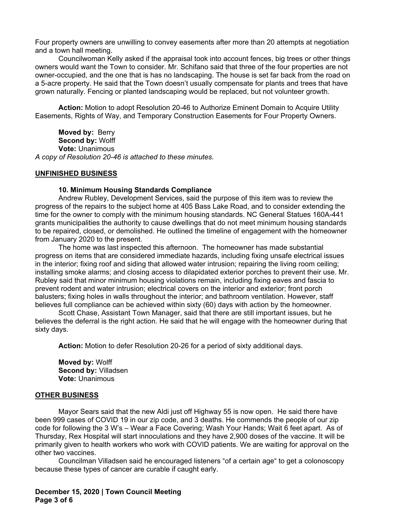Four property owners are unwilling to convey easements after more than 20 attempts at negotiation and a town hall meeting.

Councilwoman Kelly asked if the appraisal took into account fences, big trees or other things owners would want the Town to consider. Mr. Schifano said that three of the four properties are not owner-occupied, and the one that is has no landscaping. The house is set far back from the road on a 5-acre property. He said that the Town doesn't usually compensate for plants and trees that have grown naturally. Fencing or planted landscaping would be replaced, but not volunteer growth.

**Action:** Motion to adopt Resolution 20-46 to Authorize Eminent Domain to Acquire Utility Easements, Rights of Way, and Temporary Construction Easements for Four Property Owners.

**Moved by:** Berry **Second by:** Wolff **Vote:** Unanimous *A copy of Resolution 20-46 is attached to these minutes.*

#### **UNFINISHED BUSINESS**

#### **10. Minimum Housing Standards Compliance**

Andrew Rubley, Development Services, said the purpose of this item was to review the progress of the repairs to the subject home at 405 Bass Lake Road, and to consider extending the time for the owner to comply with the minimum housing standards. NC General Statues 160A-441 grants municipalities the authority to cause dwellings that do not meet minimum housing standards to be repaired, closed, or demolished. He outlined the timeline of engagement with the homeowner from January 2020 to the present.

The home was last inspected this afternoon. The homeowner has made substantial progress on items that are considered immediate hazards, including fixing unsafe electrical issues in the interior; fixing roof and siding that allowed water intrusion; repairing the living room ceiling; installing smoke alarms; and closing access to dilapidated exterior porches to prevent their use. Mr. Rubley said that minor minimum housing violations remain, including fixing eaves and fascia to prevent rodent and water intrusion; electrical covers on the interior and exterior; front porch balusters; fixing holes in walls throughout the interior; and bathroom ventilation. However, staff believes full compliance can be achieved within sixty (60) days with action by the homeowner.

Scott Chase, Assistant Town Manager, said that there are still important issues, but he believes the deferral is the right action. He said that he will engage with the homeowner during that sixty days.

**Action:** Motion to defer Resolution 20-26 for a period of sixty additional days.

**Moved by:** Wolff **Second by:** Villadsen **Vote:** Unanimous

#### **OTHER BUSINESS**

Mayor Sears said that the new Aldi just off Highway 55 is now open. He said there have been 999 cases of COVID 19 in our zip code, and 3 deaths. He commends the people of our zip code for following the 3 W's – Wear a Face Covering; Wash Your Hands; Wait 6 feet apart. As of Thursday, Rex Hospital will start innoculations and they have 2,900 doses of the vaccine. It will be primarily given to health workers who work with COVID patients. We are waiting for approval on the other two vaccines.

Councilman Villadsen said he encouraged listeners "of a certain age" to get a colonoscopy because these types of cancer are curable if caught early.

**December 15, 2020 | Town Council Meeting Page 3 of 6**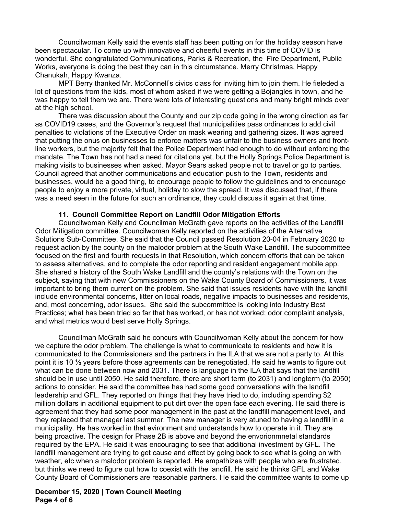Councilwoman Kelly said the events staff has been putting on for the holiday season have been spectacular. To come up with innovative and cheerful events in this time of COVID is wonderful. She congratulated Communications, Parks & Recreation, the Fire Department, Public Works, everyone is doing the best they can in this circumstance. Merry Christmas, Happy Chanukah, Happy Kwanza.

MPT Berry thanked Mr. McConnell's civics class for inviting him to join them. He fieleded a lot of questions from the kids, most of whom asked if we were getting a Bojangles in town, and he was happy to tell them we are. There were lots of interesting questions and many bright minds over at the high school.

There was discussion about the County and our zip code going in the wrong direction as far as COVID19 cases, and the Governor's request that municipalities pass ordinances to add civil penalties to violations of the Executive Order on mask wearing and gathering sizes. It was agreed that putting the onus on businesses to enforce matters was unfair to the business owners and frontline workers, but the majority felt that the Police Department had enough to do without enforcing the mandate. The Town has not had a need for citations yet, but the Holly Springs Police Department is making visits to businesses when asked. Mayor Sears asked people not to travel or go to parties. Council agreed that another communications and education push to the Town, residents and businesses, would be a good thing, to encourage people to follow the guidelines and to encourage people to enjoy a more private, virtual, holiday to slow the spread. It was discussed that, if there was a need seen in the future for such an ordinance, they could discuss it again at that time.

### **11. Council Committee Report on Landfill Odor Mitigation Efforts**

Councilwoman Kelly and Councilman McGrath gave reports on the activities of the Landfill Odor Mitigation committee. Councilwoman Kelly reported on the activities of the Alternative Solutions Sub-Committee. She said that the Council passed Resolution 20-04 in February 2020 to request action by the county on the malodor problem at the South Wake Landfill. The subcommittee focused on the first and fourth requests in that Resolution, which concern efforts that can be taken to assess alternatives, and to complete the odor reporting and resident engagement mobile app. She shared a history of the South Wake Landfill and the county's relations with the Town on the subject, saying that with new Commissioners on the Wake County Board of Commissioners, it was important to bring them current on the problem. She said that issues residents have with the landfill include environmental concerns, litter on local roads, negative impacts to businesses and residents, and, most concerning, odor issues. She said the subcommittee is looking into Industry Best Practices; what has been tried so far that has worked, or has not worked; odor complaint analysis, and what metrics would best serve Holly Springs.

Councilman McGrath said he concurs with Councilwoman Kelly about the concern for how we capture the odor problem. The challenge is what to communicate to residents and how it is communicated to the Commissioners and the partners in the ILA that we are not a party to. At this point it is 10 ½ years before those agreements can be renegotiated. He said he wants to figure out what can be done between now and 2031. There is language in the ILA that says that the landfill should be in use until 2050. He said therefore, there are short term (to 2031) and longterm (to 2050) actions to consider. He said the committee has had some good conversations with the landfill leadership and GFL. They reported on things that they have tried to do, including spending \$2 million dollars in additional equipment to put dirt over the open face each evening. He said there is agreement that they had some poor management in the past at the landfill management level, and they replaced that manager last summer. The new manager is very atuned to having a landfill in a municipality. He has worked in that evironment and understands how to operate in it. They are being proactive. The design for Phase 2B is above and beyond the envorionmnetal standards required by the EPA. He said it was encouraging to see that additional investment by GFL. The landfill management are trying to get cause and effect by going back to see what is going on with weather, etc.when a malodor problem is reported. He empathizes with people who are frustrated, but thinks we need to figure out how to coexist with the landfill. He said he thinks GFL and Wake County Board of Commissioners are reasonable partners. He said the committee wants to come up

### **December 15, 2020 | Town Council Meeting Page 4 of 6**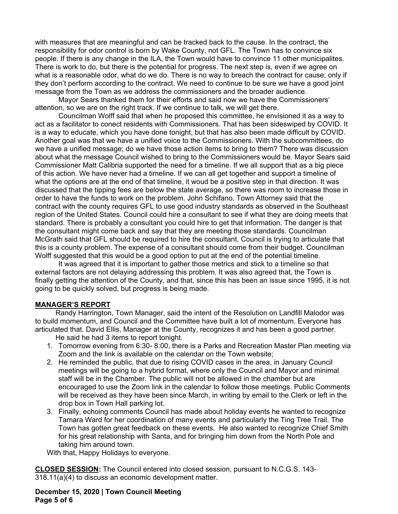with measures that are meaningful and can be tracked back to the cause. In the contract, the responsibility for odor control is born by Wake County, not GFL. The Town has to convince six people. If there is any change in the ILA, the Town would have to convince 11 other municipalites. There is work to do, but there is the potential for progress. The next step is, even if we agree on what is a reasonable odor, what do we do. There is no way to breach the contract for cause; only if they don't perform according to the contract. We need to continue to be sure we have a good joint message from the Town as we address the commissioners and the broader audience.

Mayor Sears thanked them for their efforts and said now we have the Commissioners' attention, so we are on the right track. If we continue to talk, we will get there.

Councilman Wolff said that when he proposed this committee, he envisioned it as a way to act as a facilitator to conect residents with Commissioners. That has been sideswiped by COVID. It is a way to educate, which you have done tonight, but that has also been made difficult by COVID. Another goal was that we have a unified voice to the Commissioners. With the subcommittees, do we have a unified message; do we have those action items to bring to them? There was discussion about what the message Council wished to bring to the Commissioners would be. Mayor Sears said Commissioner Matt Calibria supported the need for a timeline. If we all support that as a big piece of this action. We have never had a timeline. If we can all get together and support a timeline of what the options are at the end of that timeline, it woud be a positive step in that direction. It was discussed that the tipping fees are below the state average, so there was room to increase those in order to have the funds to work on the problem. John Schifano, Town Attorney said that the contract with the county requires GFL to use good industry standards as observed in the Southeast region of the United States. Council could hire a consultant to see if what they are doing meets that standard. There is probably a consultant you could hire to get that information. The danger is that the consultant might come back and say that they are meeting those standards. Councilman McGrath said that GFL should be required to hire the consultant. Council is trying to articulate that this is a county problem. The expense of a consultant should come from their budget. Councilman Wolff suggested that this would be a good option to put at the end of the potential timeline.

It was agreed that it is important to gather those metrics and stick to a timeline so that external factors are not delaying addressing this problem. It was also agreed that, the Town is finally getting the attention of the County, and that, since this has been an issue since 1995, it is not going to be quickly solved, but progress is being made.

# **MANAGER'S REPORT**

Randy Harrington, Town Manager, said the intent of the Resolution on Landfill Malodor was to build momentum, and Council and the Committee have built a lot of momentum. Everyone has articulated that. David Ellis, Manager at the County, recognizes it and has been a good partner.

He said he had 3 items to report tonight.

- 1. Tomorrow evening from 6:30- 8:00, there is a Parks and Recreation Master Plan meeting via Zoom and the link is available on the calendar on the Town website;
- 2. He reminded the public, that due to rising COVID cases in the area, in January Council meetings will be going to a hybrid format, where only the Council and Mayor and minimal staff will be in the Chamber. The public will not be allowed in the chamber but are encouraged to use the Zoom link in the calendar to follow those meetings. Public Comments will be received as they have been since March, in writing by email to the Clerk or left in the drop box in Town Hall parking lot.
- 3. Finally, echoing comments Council has made about holiday events he wanted to recognize Tamara Ward for her coordination of many events and particularly the Ting Tree Trail. The Town has gotten great feedback on these events. He also wanted to recognize Chief Smith for his great relationship with Santa, and for bringing him down from the North Pole and taking him around town.

With that, Happy Holidays to everyone.

**CLOSED SESSION:** The Council entered into closed session, pursuant to N.C.G.S. 143- 318.11(a)(4) to discuss an economic development matter.

**December 15, 2020 | Town Council Meeting Page 5 of 6**